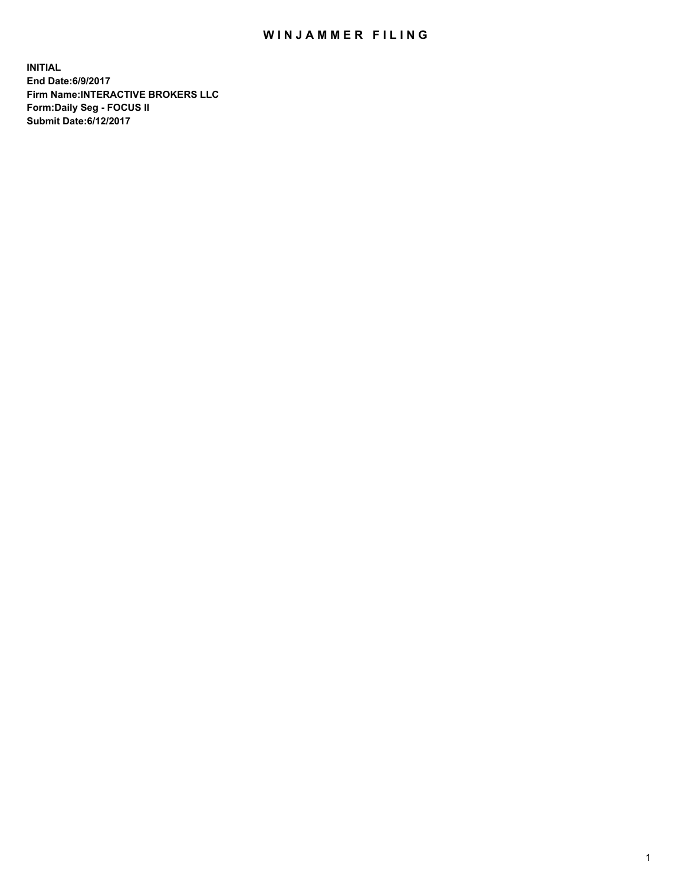## WIN JAMMER FILING

**INITIAL End Date:6/9/2017 Firm Name:INTERACTIVE BROKERS LLC Form:Daily Seg - FOCUS II Submit Date:6/12/2017**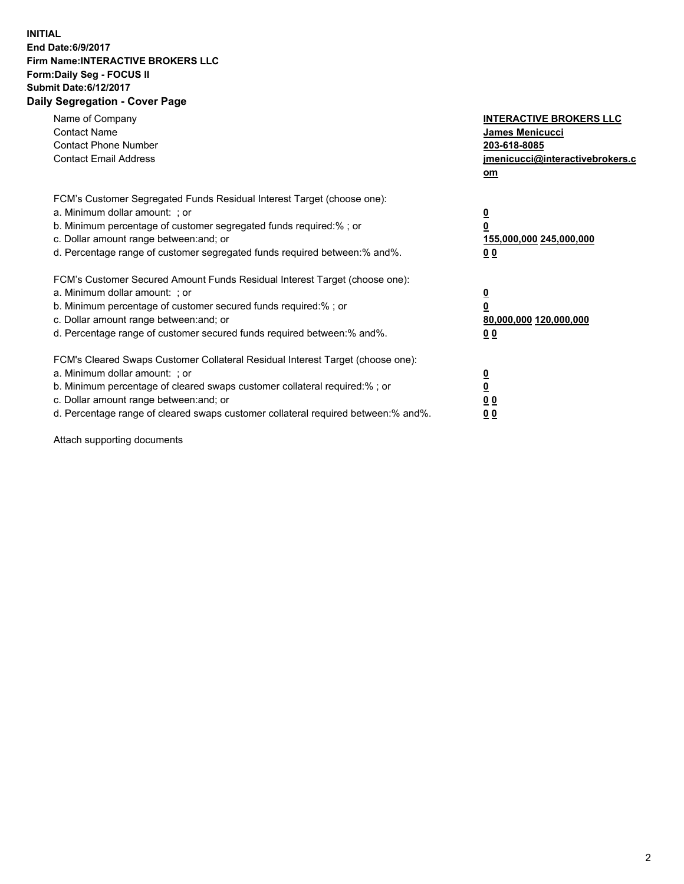## **INITIAL End Date:6/9/2017 Firm Name:INTERACTIVE BROKERS LLC Form:Daily Seg - FOCUS II Submit Date:6/12/2017 Daily Segregation - Cover Page**

| Name of Company<br><b>Contact Name</b><br><b>Contact Phone Number</b><br><b>Contact Email Address</b>                                                                                                                                                                                                                          | <b>INTERACTIVE BROKERS LLC</b><br><b>James Menicucci</b><br>203-618-8085<br>jmenicucci@interactivebrokers.c<br>om |
|--------------------------------------------------------------------------------------------------------------------------------------------------------------------------------------------------------------------------------------------------------------------------------------------------------------------------------|-------------------------------------------------------------------------------------------------------------------|
| FCM's Customer Segregated Funds Residual Interest Target (choose one):<br>a. Minimum dollar amount: ; or<br>b. Minimum percentage of customer segregated funds required:% ; or<br>c. Dollar amount range between: and; or<br>d. Percentage range of customer segregated funds required between: % and %.                       | $\overline{\mathbf{0}}$<br>0<br>155,000,000 245,000,000<br>00                                                     |
| FCM's Customer Secured Amount Funds Residual Interest Target (choose one):<br>a. Minimum dollar amount: ; or<br>b. Minimum percentage of customer secured funds required:%; or<br>c. Dollar amount range between: and; or<br>d. Percentage range of customer secured funds required between: % and %.                          | $\overline{\mathbf{0}}$<br>0<br>80,000,000 120,000,000<br>0 <sub>0</sub>                                          |
| FCM's Cleared Swaps Customer Collateral Residual Interest Target (choose one):<br>a. Minimum dollar amount: ; or<br>b. Minimum percentage of cleared swaps customer collateral required:% ; or<br>c. Dollar amount range between: and; or<br>d. Percentage range of cleared swaps customer collateral required between:% and%. | $\overline{\mathbf{0}}$<br>$\underline{\mathbf{0}}$<br>0 <sub>0</sub><br>0 <sub>0</sub>                           |

Attach supporting documents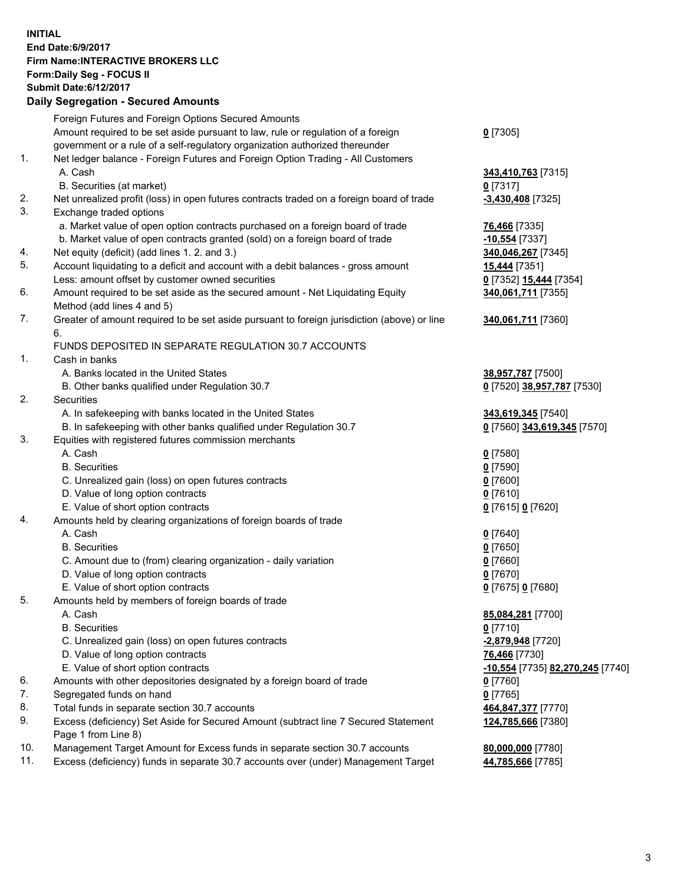## **INITIAL End Date:6/9/2017 Firm Name:INTERACTIVE BROKERS LLC Form:Daily Seg - FOCUS II Submit Date:6/12/2017 Daily Segregation - Secured Amounts**

|     | Daily Jegregation - Jeculed Aniounts                                                                       |                                  |
|-----|------------------------------------------------------------------------------------------------------------|----------------------------------|
|     | Foreign Futures and Foreign Options Secured Amounts                                                        |                                  |
|     | Amount required to be set aside pursuant to law, rule or regulation of a foreign                           | $0$ [7305]                       |
|     | government or a rule of a self-regulatory organization authorized thereunder                               |                                  |
| 1.  | Net ledger balance - Foreign Futures and Foreign Option Trading - All Customers                            |                                  |
|     | A. Cash                                                                                                    | 343,410,763 [7315]               |
|     | B. Securities (at market)                                                                                  | $0$ [7317]                       |
| 2.  | Net unrealized profit (loss) in open futures contracts traded on a foreign board of trade                  | $-3,430,408$ [7325]              |
| 3.  | Exchange traded options                                                                                    |                                  |
|     | a. Market value of open option contracts purchased on a foreign board of trade                             | <b>76,466</b> [7335]             |
|     | b. Market value of open contracts granted (sold) on a foreign board of trade                               | $-10,554$ [7337]                 |
| 4.  | Net equity (deficit) (add lines 1.2. and 3.)                                                               | 340,046,267 [7345]               |
| 5.  | Account liquidating to a deficit and account with a debit balances - gross amount                          | 15,444 [7351]                    |
|     | Less: amount offset by customer owned securities                                                           | 0 [7352] 15,444 [7354]           |
| 6.  | Amount required to be set aside as the secured amount - Net Liquidating Equity                             | 340,061,711 [7355]               |
|     | Method (add lines 4 and 5)                                                                                 |                                  |
| 7.  | Greater of amount required to be set aside pursuant to foreign jurisdiction (above) or line                | 340,061,711 [7360]               |
|     | 6.                                                                                                         |                                  |
|     | FUNDS DEPOSITED IN SEPARATE REGULATION 30.7 ACCOUNTS                                                       |                                  |
| 1.  | Cash in banks                                                                                              |                                  |
|     | A. Banks located in the United States                                                                      | 38,957,787 [7500]                |
|     | B. Other banks qualified under Regulation 30.7                                                             | 0 [7520] 38,957,787 [7530]       |
| 2.  | Securities                                                                                                 |                                  |
|     | A. In safekeeping with banks located in the United States                                                  | 343,619,345 [7540]               |
|     | B. In safekeeping with other banks qualified under Regulation 30.7                                         | 0 [7560] 343,619,345 [7570]      |
| 3.  | Equities with registered futures commission merchants                                                      |                                  |
|     | A. Cash                                                                                                    | $0$ [7580]                       |
|     | <b>B.</b> Securities                                                                                       | $0$ [7590]                       |
|     | C. Unrealized gain (loss) on open futures contracts                                                        | $0$ [7600]                       |
|     | D. Value of long option contracts                                                                          | $0$ [7610]                       |
|     | E. Value of short option contracts                                                                         | 0 [7615] 0 [7620]                |
| 4.  | Amounts held by clearing organizations of foreign boards of trade                                          |                                  |
|     | A. Cash                                                                                                    | $0$ [7640]                       |
|     | <b>B.</b> Securities                                                                                       | $0$ [7650]                       |
|     | C. Amount due to (from) clearing organization - daily variation                                            | $0$ [7660]                       |
|     | D. Value of long option contracts                                                                          | $0$ [7670]                       |
|     | E. Value of short option contracts                                                                         | 0 [7675] 0 [7680]                |
| 5.  | Amounts held by members of foreign boards of trade                                                         |                                  |
|     | A. Cash                                                                                                    | 85,084,281 [7700]                |
|     | <b>B.</b> Securities                                                                                       | $0$ [7710]                       |
|     | C. Unrealized gain (loss) on open futures contracts                                                        | $-2,879,948$ [7720]              |
|     | D. Value of long option contracts                                                                          | 76,466 [7730]                    |
|     | E. Value of short option contracts                                                                         | -10,554 [7735] 82,270,245 [7740] |
| 6.  | Amounts with other depositories designated by a foreign board of trade                                     | 0 [7760]                         |
| 7.  | Segregated funds on hand                                                                                   | $0$ [7765]                       |
| 8.  | Total funds in separate section 30.7 accounts                                                              | 464,847,377 [7770]               |
| 9.  | Excess (deficiency) Set Aside for Secured Amount (subtract line 7 Secured Statement<br>Page 1 from Line 8) | 124,785,666 [7380]               |
| 10. | Management Target Amount for Excess funds in separate section 30.7 accounts                                | 80,000,000 [7780]                |
| 11. | Excess (deficiency) funds in separate 30.7 accounts over (under) Management Target                         | 44,785,666 [7785]                |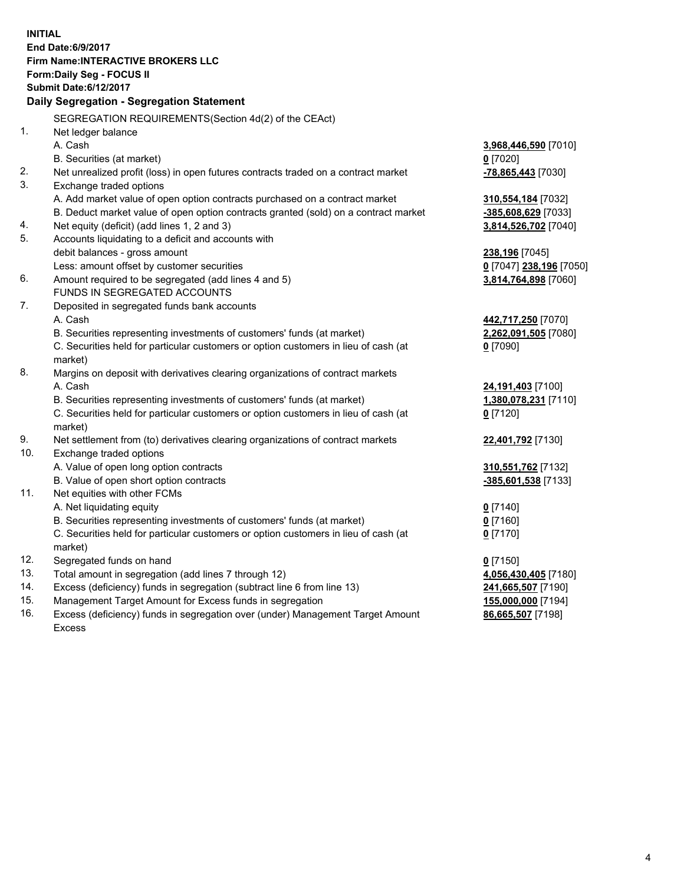**INITIAL End Date:6/9/2017 Firm Name:INTERACTIVE BROKERS LLC Form:Daily Seg - FOCUS II Submit Date:6/12/2017 Daily Segregation - Segregation Statement** SEGREGATION REQUIREMENTS(Section 4d(2) of the CEAct) 1. Net ledger balance A. Cash **3,968,446,590** [7010] B. Securities (at market) **0** [7020] 2. Net unrealized profit (loss) in open futures contracts traded on a contract market **-78,865,443** [7030] 3. Exchange traded options A. Add market value of open option contracts purchased on a contract market **310,554,184** [7032] B. Deduct market value of open option contracts granted (sold) on a contract market **-385,608,629** [7033] 4. Net equity (deficit) (add lines 1, 2 and 3) **3,814,526,702** [7040] 5. Accounts liquidating to a deficit and accounts with debit balances - gross amount **238,196** [7045] Less: amount offset by customer securities **0** [7047] **238,196** [7050] 6. Amount required to be segregated (add lines 4 and 5) **3,814,764,898** [7060] FUNDS IN SEGREGATED ACCOUNTS 7. Deposited in segregated funds bank accounts A. Cash **442,717,250** [7070] B. Securities representing investments of customers' funds (at market) **2,262,091,505** [7080] C. Securities held for particular customers or option customers in lieu of cash (at market) **0** [7090] 8. Margins on deposit with derivatives clearing organizations of contract markets A. Cash **24,191,403** [7100] B. Securities representing investments of customers' funds (at market) **1,380,078,231** [7110] C. Securities held for particular customers or option customers in lieu of cash (at market) **0** [7120] 9. Net settlement from (to) derivatives clearing organizations of contract markets **22,401,792** [7130] 10. Exchange traded options A. Value of open long option contracts **310,551,762** [7132] B. Value of open short option contracts **-385,601,538** [7133] 11. Net equities with other FCMs A. Net liquidating equity **0** [7140] B. Securities representing investments of customers' funds (at market) **0** [7160] C. Securities held for particular customers or option customers in lieu of cash (at market) **0** [7170] 12. Segregated funds on hand **0** [7150] 13. Total amount in segregation (add lines 7 through 12) **4,056,430,405** [7180] 14. Excess (deficiency) funds in segregation (subtract line 6 from line 13) **241,665,507** [7190] 15. Management Target Amount for Excess funds in segregation **155,000,000** [7194] **86,665,507** [7198]

16. Excess (deficiency) funds in segregation over (under) Management Target Amount Excess